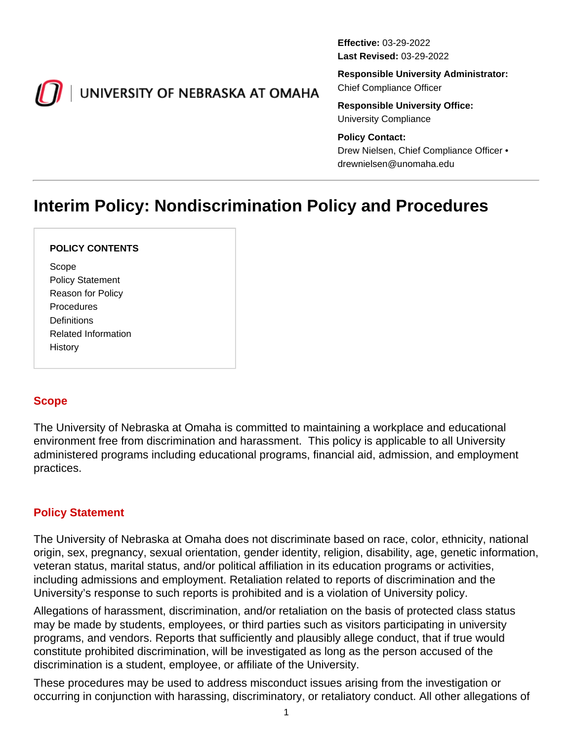<span id="page-0-0"></span>

# UNIVERSITY OF NEBRASKA AT OMAHA

**Effective:** 03-29-2022 **Last Revised:** 03-29-2022

**Responsible University Administrator:** Chief Compliance Officer

**Responsible University Office:** University Compliance

#### **Policy Contact:**

Drew Nielsen, Chief Compliance Officer • drewnielsen@unomaha.edu

# **Interim Policy: Nondiscrimination Policy and Procedures**

#### **POLICY CONTENTS**

Scope Policy Statement Reason for Policy **Procedures Definitions** Related Information History

## **Scope**

The University of Nebraska at Omaha is committed to maintaining a workplace and educational environment free from discrimination and harassment. This policy is applicable to all University administered programs including educational programs, financial aid, admission, and employment practices.

#### **Policy Statement**

The University of Nebraska at Omaha does not discriminate based on race, color, ethnicity, national origin, sex, pregnancy, sexual orientation, gender identity, religion, disability, age, genetic information, veteran status, marital status, and/or political affiliation in its education programs or activities, including admissions and employment. Retaliation related to reports of discrimination and the University's response to such reports is prohibited and is a violation of University policy.

Allegations of harassment, discrimination, and/or retaliation on the basis of protected class status may be made by students, employees, or third parties such as visitors participating in university programs, and vendors. Reports that sufficiently and plausibly allege conduct, that if true would constitute prohibited discrimination, will be investigated as long as the person accused of the discrimination is a student, employee, or affiliate of the University.

These procedures may be used to address misconduct issues arising from the investigation or occurring in conjunction with harassing, discriminatory, or retaliatory conduct. All other allegations of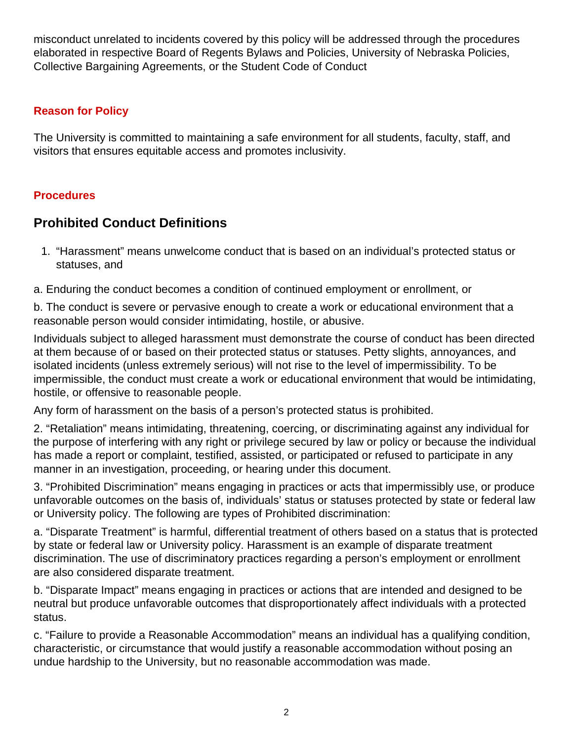misconduct unrelated to incidents covered by this policy will be addressed through the procedures elaborated in respective Board of Regents Bylaws and Policies, University of Nebraska Policies, Collective Bargaining Agreements, or the Student Code of Conduct

#### **Reason for Policy**

The University is committed to maintaining a safe environment for all students, faculty, staff, and visitors that ensures equitable access and promotes inclusivity.

#### **Procedures**

# **Prohibited Conduct Definitions**

- 1. "Harassment" means unwelcome conduct that is based on an individual's protected status or statuses, and
- a. Enduring the conduct becomes a condition of continued employment or enrollment, or

b. The conduct is severe or pervasive enough to create a work or educational environment that a reasonable person would consider intimidating, hostile, or abusive.

Individuals subject to alleged harassment must demonstrate the course of conduct has been directed at them because of or based on their protected status or statuses. Petty slights, annoyances, and isolated incidents (unless extremely serious) will not rise to the level of impermissibility. To be impermissible, the conduct must create a work or educational environment that would be intimidating, hostile, or offensive to reasonable people.

Any form of harassment on the basis of a person's protected status is prohibited.

2. "Retaliation" means intimidating, threatening, coercing, or discriminating against any individual for the purpose of interfering with any right or privilege secured by law or policy or because the individual has made a report or complaint, testified, assisted, or participated or refused to participate in any manner in an investigation, proceeding, or hearing under this document.

3. "Prohibited Discrimination" means engaging in practices or acts that impermissibly use, or produce unfavorable outcomes on the basis of, individuals' status or statuses protected by state or federal law or University policy. The following are types of Prohibited discrimination:

a. "Disparate Treatment" is harmful, differential treatment of others based on a status that is protected by state or federal law or University policy. Harassment is an example of disparate treatment discrimination. The use of discriminatory practices regarding a person's employment or enrollment are also considered disparate treatment.

b. "Disparate Impact" means engaging in practices or actions that are intended and designed to be neutral but produce unfavorable outcomes that disproportionately affect individuals with a protected status.

c. "Failure to provide a Reasonable Accommodation" means an individual has a qualifying condition, characteristic, or circumstance that would justify a reasonable accommodation without posing an undue hardship to the University, but no reasonable accommodation was made.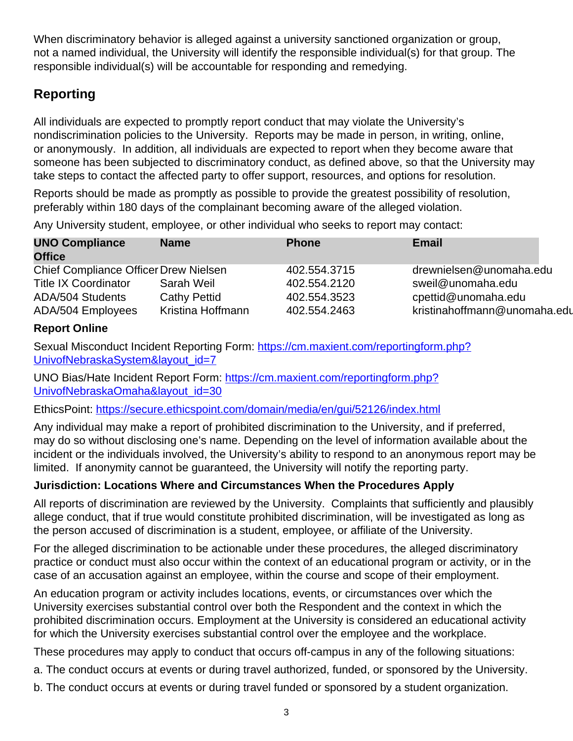When discriminatory behavior is alleged against a university sanctioned organization or group, not a named individual, the University will identify the responsible individual(s) for that group. The responsible individual(s) will be accountable for responding and remedying.

# **Reporting**

All individuals are expected to promptly report conduct that may violate the University's nondiscrimination policies to the University. Reports may be made in person, in writing, online, or anonymously. In addition, all individuals are expected to report when they become aware that someone has been subjected to discriminatory conduct, as defined above, so that the University may take steps to contact the affected party to offer support, resources, and options for resolution.

Reports should be made as promptly as possible to provide the greatest possibility of resolution, preferably within 180 days of the complainant becoming aware of the alleged violation.

Any University student, employee, or other individual who seeks to report may contact:

| <b>UNO Compliance</b><br><b>Office</b> | <b>Name</b>         | <b>Phone</b> | <b>Email</b>                 |
|----------------------------------------|---------------------|--------------|------------------------------|
| Chief Compliance Officer Drew Nielsen  |                     | 402.554.3715 | drewnielsen@unomaha.edu      |
| <b>Title IX Coordinator</b>            | Sarah Weil          | 402.554.2120 | sweil@unomaha.edu            |
| ADA/504 Students                       | <b>Cathy Pettid</b> | 402.554.3523 | cpettid@unomaha.edu          |
| ADA/504 Employees                      | Kristina Hoffmann   | 402.554.2463 | kristinahoffmann@unomaha.edu |

## **Report Online**

Sexual Misconduct Incident Reporting Form: [https://cm.maxient.com/reportingform.php?](https://cm.maxient.com/reportingform.php?UnivofNebraskaSystem&layout_id=7) [UnivofNebraskaSystem&layout\\_id=7](https://cm.maxient.com/reportingform.php?UnivofNebraskaSystem&layout_id=7)

UNO Bias/Hate Incident Report Form: [https://cm.maxient.com/reportingform.php?](https://cm.maxient.com/reportingform.php?UnivofNebraskaOmaha&layout_id=30) [UnivofNebraskaOmaha&layout\\_id=30](https://cm.maxient.com/reportingform.php?UnivofNebraskaOmaha&layout_id=30)

EthicsPoint: <https://secure.ethicspoint.com/domain/media/en/gui/52126/index.html>

Any individual may make a report of prohibited discrimination to the University, and if preferred, may do so without disclosing one's name. Depending on the level of information available about the incident or the individuals involved, the University's ability to respond to an anonymous report may be limited. If anonymity cannot be guaranteed, the University will notify the reporting party.

## **Jurisdiction: Locations Where and Circumstances When the Procedures Apply**

All reports of discrimination are reviewed by the University. Complaints that sufficiently and plausibly allege conduct, that if true would constitute prohibited discrimination, will be investigated as long as the person accused of discrimination is a student, employee, or affiliate of the University.

For the alleged discrimination to be actionable under these procedures, the alleged discriminatory practice or conduct must also occur within the context of an educational program or activity, or in the case of an accusation against an employee, within the course and scope of their employment.

An education program or activity includes locations, events, or circumstances over which the University exercises substantial control over both the Respondent and the context in which the prohibited discrimination occurs. Employment at the University is considered an educational activity for which the University exercises substantial control over the employee and the workplace.

These procedures may apply to conduct that occurs off-campus in any of the following situations:

a. The conduct occurs at events or during travel authorized, funded, or sponsored by the University.

b. The conduct occurs at events or during travel funded or sponsored by a student organization.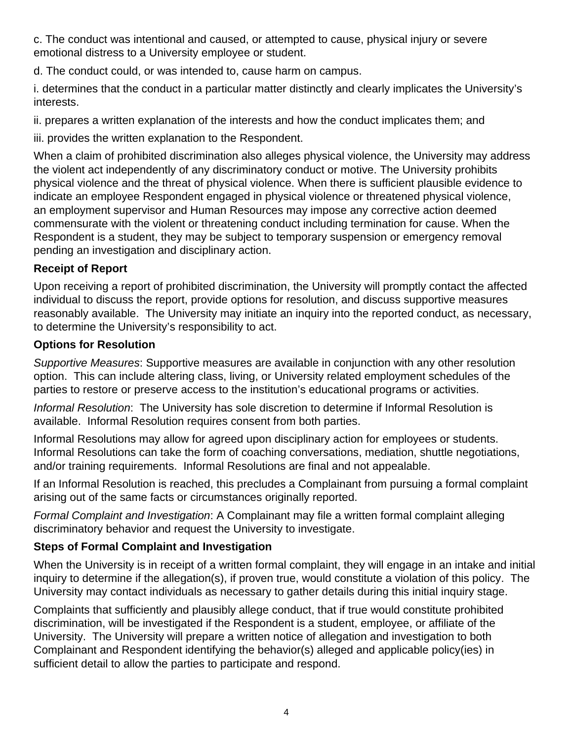c. The conduct was intentional and caused, or attempted to cause, physical injury or severe emotional distress to a University employee or student.

d. The conduct could, or was intended to, cause harm on campus.

i. determines that the conduct in a particular matter distinctly and clearly implicates the University's interests.

ii. prepares a written explanation of the interests and how the conduct implicates them; and

iii. provides the written explanation to the Respondent.

When a claim of prohibited discrimination also alleges physical violence, the University may address the violent act independently of any discriminatory conduct or motive. The University prohibits physical violence and the threat of physical violence. When there is sufficient plausible evidence to indicate an employee Respondent engaged in physical violence or threatened physical violence, an employment supervisor and Human Resources may impose any corrective action deemed commensurate with the violent or threatening conduct including termination for cause. When the Respondent is a student, they may be subject to temporary suspension or emergency removal pending an investigation and disciplinary action.

## **Receipt of Report**

Upon receiving a report of prohibited discrimination, the University will promptly contact the affected individual to discuss the report, provide options for resolution, and discuss supportive measures reasonably available. The University may initiate an inquiry into the reported conduct, as necessary, to determine the University's responsibility to act.

## **Options for Resolution**

Supportive Measures: Supportive measures are available in conjunction with any other resolution option. This can include altering class, living, or University related employment schedules of the parties to restore or preserve access to the institution's educational programs or activities.

Informal Resolution: The University has sole discretion to determine if Informal Resolution is available. Informal Resolution requires consent from both parties.

Informal Resolutions may allow for agreed upon disciplinary action for employees or students. Informal Resolutions can take the form of coaching conversations, mediation, shuttle negotiations, and/or training requirements. Informal Resolutions are final and not appealable.

If an Informal Resolution is reached, this precludes a Complainant from pursuing a formal complaint arising out of the same facts or circumstances originally reported.

Formal Complaint and Investigation: A Complainant may file a written formal complaint alleging discriminatory behavior and request the University to investigate.

## **Steps of Formal Complaint and Investigation**

When the University is in receipt of a written formal complaint, they will engage in an intake and initial inquiry to determine if the allegation(s), if proven true, would constitute a violation of this policy. The University may contact individuals as necessary to gather details during this initial inquiry stage.

Complaints that sufficiently and plausibly allege conduct, that if true would constitute prohibited discrimination, will be investigated if the Respondent is a student, employee, or affiliate of the University. The University will prepare a written notice of allegation and investigation to both Complainant and Respondent identifying the behavior(s) alleged and applicable policy(ies) in sufficient detail to allow the parties to participate and respond.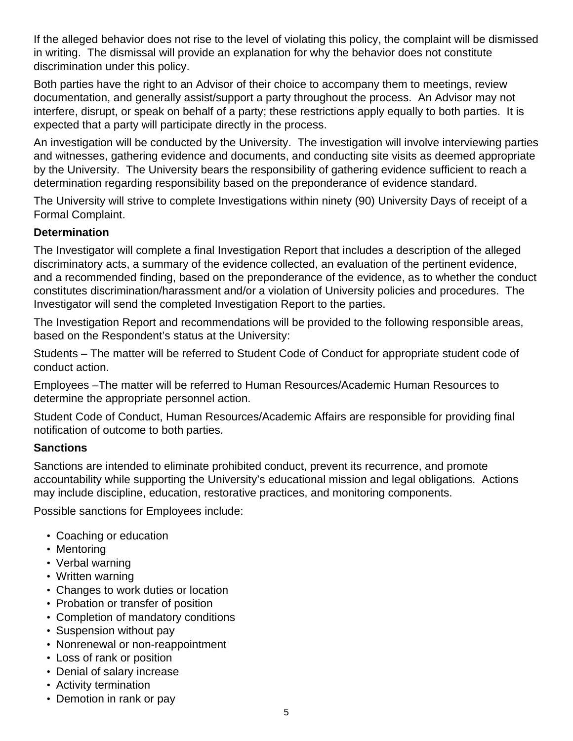If the alleged behavior does not rise to the level of violating this policy, the complaint will be dismissed in writing. The dismissal will provide an explanation for why the behavior does not constitute discrimination under this policy.

Both parties have the right to an Advisor of their choice to accompany them to meetings, review documentation, and generally assist/support a party throughout the process. An Advisor may not interfere, disrupt, or speak on behalf of a party; these restrictions apply equally to both parties. It is expected that a party will participate directly in the process.

An investigation will be conducted by the University. The investigation will involve interviewing parties and witnesses, gathering evidence and documents, and conducting site visits as deemed appropriate by the University. The University bears the responsibility of gathering evidence sufficient to reach a determination regarding responsibility based on the preponderance of evidence standard.

The University will strive to complete Investigations within ninety (90) University Days of receipt of a Formal Complaint.

#### **Determination**

The Investigator will complete a final Investigation Report that includes a description of the alleged discriminatory acts, a summary of the evidence collected, an evaluation of the pertinent evidence, and a recommended finding, based on the preponderance of the evidence, as to whether the conduct constitutes discrimination/harassment and/or a violation of University policies and procedures. The Investigator will send the completed Investigation Report to the parties.

The Investigation Report and recommendations will be provided to the following responsible areas, based on the Respondent's status at the University:

Students – The matter will be referred to Student Code of Conduct for appropriate student code of conduct action.

Employees –The matter will be referred to Human Resources/Academic Human Resources to determine the appropriate personnel action.

Student Code of Conduct, Human Resources/Academic Affairs are responsible for providing final notification of outcome to both parties.

#### **Sanctions**

Sanctions are intended to eliminate prohibited conduct, prevent its recurrence, and promote accountability while supporting the University's educational mission and legal obligations. Actions may include discipline, education, restorative practices, and monitoring components.

Possible sanctions for Employees include:

- Coaching or education
- Mentoring
- Verbal warning
- Written warning
- Changes to work duties or location
- Probation or transfer of position
- Completion of mandatory conditions
- Suspension without pay
- Nonrenewal or non-reappointment
- Loss of rank or position
- Denial of salary increase
- Activity termination
- Demotion in rank or pay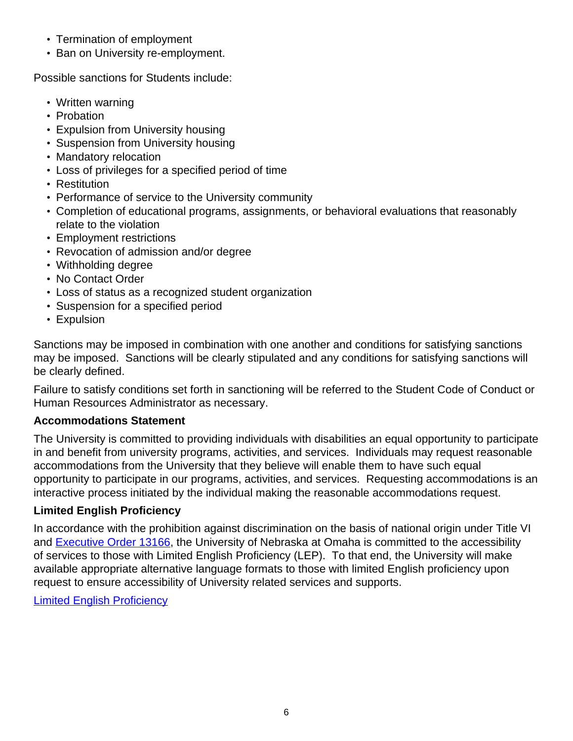- Termination of employment
- Ban on University re-employment.

Possible sanctions for Students include:

- Written warning
- Probation
- Expulsion from University housing
- Suspension from University housing
- Mandatory relocation
- Loss of privileges for a specified period of time
- Restitution
- Performance of service to the University community
- Completion of educational programs, assignments, or behavioral evaluations that reasonably relate to the violation
- Employment restrictions
- Revocation of admission and/or degree
- Withholding degree
- No Contact Order
- Loss of status as a recognized student organization
- Suspension for a specified period
- Expulsion

Sanctions may be imposed in combination with one another and conditions for satisfying sanctions may be imposed. Sanctions will be clearly stipulated and any conditions for satisfying sanctions will be clearly defined.

Failure to satisfy conditions set forth in sanctioning will be referred to the Student Code of Conduct or Human Resources Administrator as necessary.

## **Accommodations Statement**

The University is committed to providing individuals with disabilities an equal opportunity to participate in and benefit from university programs, activities, and services. Individuals may request reasonable accommodations from the University that they believe will enable them to have such equal opportunity to participate in our programs, activities, and services. Requesting accommodations is an interactive process initiated by the individual making the reasonable accommodations request.

## **Limited English Proficiency**

In accordance with the prohibition against discrimination on the basis of national origin under Title VI and [Executive Order 13166](https://www.justice.gov/crt/executive-order-13166), the University of Nebraska at Omaha is committed to the accessibility of services to those with Limited English Proficiency (LEP). To that end, the University will make available appropriate alternative language formats to those with limited English proficiency upon request to ensure accessibility of University related services and supports.

[Limited English Proficiency](#page-0-0)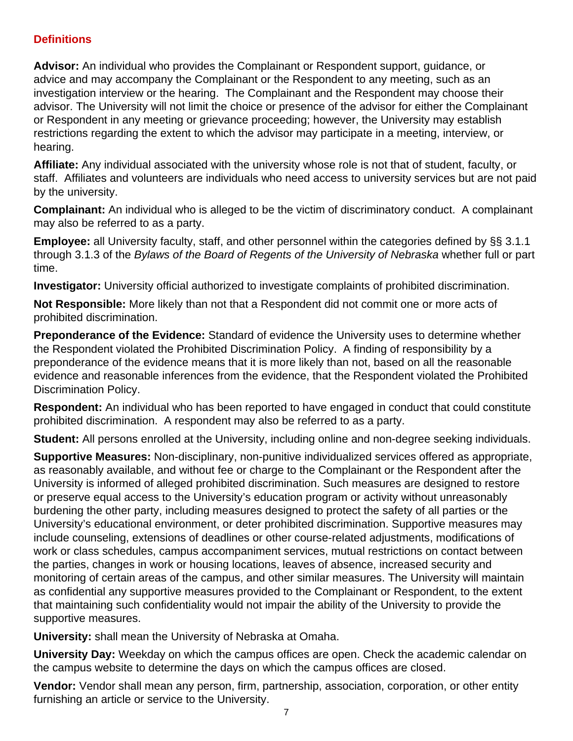#### **Definitions**

**Advisor:** An individual who provides the Complainant or Respondent support, guidance, or advice and may accompany the Complainant or the Respondent to any meeting, such as an investigation interview or the hearing. The Complainant and the Respondent may choose their advisor. The University will not limit the choice or presence of the advisor for either the Complainant or Respondent in any meeting or grievance proceeding; however, the University may establish restrictions regarding the extent to which the advisor may participate in a meeting, interview, or hearing.

**Affiliate:** Any individual associated with the university whose role is not that of student, faculty, or staff. Affiliates and volunteers are individuals who need access to university services but are not paid by the university.

**Complainant:** An individual who is alleged to be the victim of discriminatory conduct. A complainant may also be referred to as a party.

**Employee:** all University faculty, staff, and other personnel within the categories defined by §§ 3.1.1 through 3.1.3 of the Bylaws of the Board of Regents of the University of Nebraska whether full or part time.

**Investigator:** University official authorized to investigate complaints of prohibited discrimination.

**Not Responsible:** More likely than not that a Respondent did not commit one or more acts of prohibited discrimination.

**Preponderance of the Evidence:** Standard of evidence the University uses to determine whether the Respondent violated the Prohibited Discrimination Policy. A finding of responsibility by a preponderance of the evidence means that it is more likely than not, based on all the reasonable evidence and reasonable inferences from the evidence, that the Respondent violated the Prohibited Discrimination Policy.

**Respondent:** An individual who has been reported to have engaged in conduct that could constitute prohibited discrimination. A respondent may also be referred to as a party.

**Student:** All persons enrolled at the University, including online and non-degree seeking individuals.

**Supportive Measures:** Non-disciplinary, non-punitive individualized services offered as appropriate, as reasonably available, and without fee or charge to the Complainant or the Respondent after the University is informed of alleged prohibited discrimination. Such measures are designed to restore or preserve equal access to the University's education program or activity without unreasonably burdening the other party, including measures designed to protect the safety of all parties or the University's educational environment, or deter prohibited discrimination. Supportive measures may include counseling, extensions of deadlines or other course-related adjustments, modifications of work or class schedules, campus accompaniment services, mutual restrictions on contact between the parties, changes in work or housing locations, leaves of absence, increased security and monitoring of certain areas of the campus, and other similar measures. The University will maintain as confidential any supportive measures provided to the Complainant or Respondent, to the extent that maintaining such confidentiality would not impair the ability of the University to provide the supportive measures.

**University:** shall mean the University of Nebraska at Omaha.

**University Day:** Weekday on which the campus offices are open. Check the academic calendar on the campus website to determine the days on which the campus offices are closed.

**Vendor:** Vendor shall mean any person, firm, partnership, association, corporation, or other entity furnishing an article or service to the University.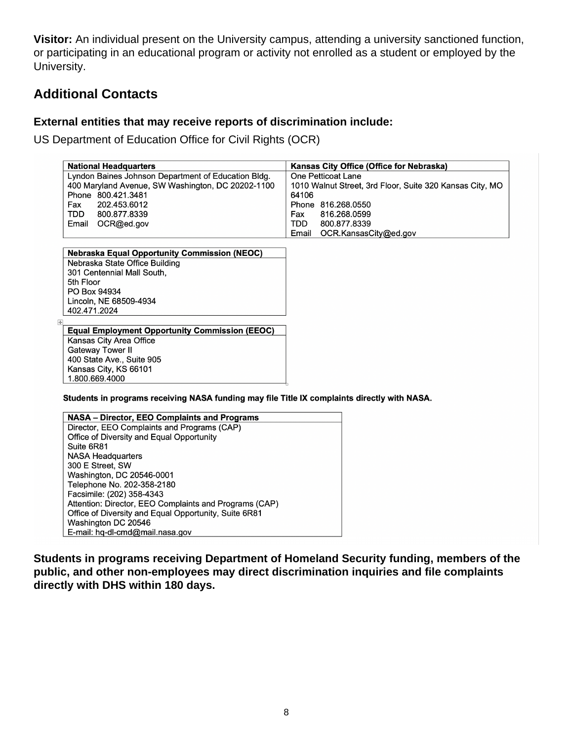**Visitor:** An individual present on the University campus, attending a university sanctioned function, or participating in an educational program or activity not enrolled as a student or employed by the University.

# **Additional Contacts**

#### **External entities that may receive reports of discrimination include:**

US Department of Education Office for Civil Rights (OCR)

| <b>National Headquarters</b>                        | Kansas City Office (Office for Nebraska)                 |  |  |
|-----------------------------------------------------|----------------------------------------------------------|--|--|
| Lyndon Baines Johnson Department of Education Bldg. | One Petticoat Lane                                       |  |  |
| 400 Maryland Avenue, SW Washington, DC 20202-1100   | 1010 Walnut Street, 3rd Floor, Suite 320 Kansas City, MO |  |  |
| Phone 800.421.3481                                  | 64106                                                    |  |  |
| Fax<br>202.453.6012                                 | Phone 816.268.0550                                       |  |  |
| <b>TDD</b><br>800.877.8339                          | 816.268.0599<br>Fax                                      |  |  |
| Email<br>OCR@ed.gov                                 | 800.877.8339<br>TDD                                      |  |  |
|                                                     | OCR.KansasCity@ed.gov<br>Email                           |  |  |

**Nebraska Equal Opportunity Commission (NEOC)** Nebraska State Office Building 301 Centennial Mall South, 5th Floor PO Box 94934 Lincoln, NE 68509-4934 402.471.2024

**Equal Employment Opportunity Commission (EEOC)** Kansas City Area Office Gateway Tower II 400 State Ave., Suite 905 Kansas City, KS 66101 1.800.669.4000

Students in programs receiving NASA funding may file Title IX complaints directly with NASA.

|                                             | <b>NASA - Director, EEO Complaints and Programs</b>    |  |
|---------------------------------------------|--------------------------------------------------------|--|
| Director, EEO Complaints and Programs (CAP) |                                                        |  |
|                                             | Office of Diversity and Equal Opportunity              |  |
|                                             | Suite 6R81                                             |  |
|                                             | <b>NASA Headquarters</b>                               |  |
|                                             | 300 E Street, SW                                       |  |
|                                             | Washington, DC 20546-0001                              |  |
|                                             | Telephone No. 202-358-2180                             |  |
|                                             | Facsimile: (202) 358-4343                              |  |
|                                             | Attention: Director, EEO Complaints and Programs (CAP) |  |
|                                             | Office of Diversity and Equal Opportunity, Suite 6R81  |  |
|                                             | Washington DC 20546                                    |  |
|                                             | E-mail: hg-dl-cmd@mail.nasa.gov                        |  |

**Students in programs receiving Department of Homeland Security funding, members of the public, and other non-employees may direct discrimination inquiries and file complaints directly with DHS within 180 days.**